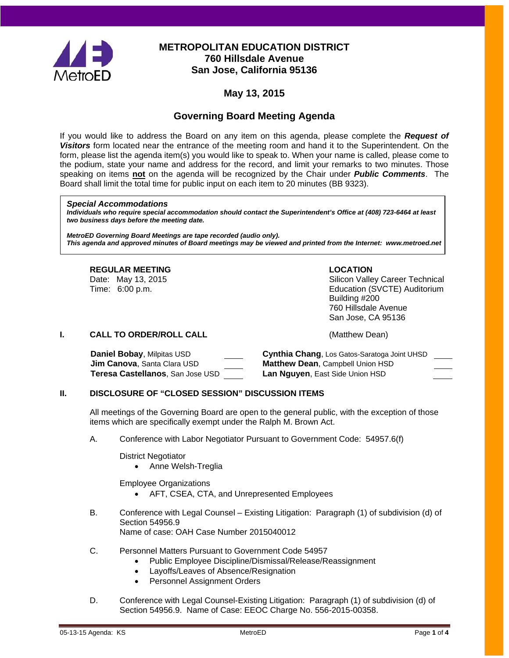

# **METROPOLITAN EDUCATION DISTRICT 760 Hillsdale Avenue San Jose, California 95136**

# **May 13, 2015**

# **Governing Board Meeting Agenda**

If you would like to address the Board on any item on this agenda, please complete the *Request of Visitors* form located near the entrance of the meeting room and hand it to the Superintendent. On the form, please list the agenda item(s) you would like to speak to. When your name is called, please come to the podium, state your name and address for the record, and limit your remarks to two minutes. Those speaking on items **not** on the agenda will be recognized by the Chair under *Public Comments*. The Board shall limit the total time for public input on each item to 20 minutes (BB 9323).

#### *Special Accommodations*

*Individuals who require special accommodation should contact the Superintendent's Office at (408) 723-6464 at least two business days before the meeting date.*

*MetroED Governing Board Meetings are tape recorded (audio only). This agenda and approved minutes of Board meetings may be viewed and printed from the Internet: www.metroed.net*

# **REGULAR MEETING LOCATION**

Date: May 13, 2015 **Silicon Valley Career Technical**<br>
Time: 6:00 p.m. Silicon Valley Career Technical<br>
Education (SVCTE) Auditorium Education (SVCTE) Auditorium Building #200 760 Hillsdale Avenue San Jose, CA 95136

#### **I. CALL TO ORDER/ROLL CALL CALL CALL CALL** (Matthew Dean)

| Daniel Bobay, Milpitas USD          | Cynthia Chang, Los Gatos-Saratoga Joint UHSD |
|-------------------------------------|----------------------------------------------|
| <b>Jim Canova</b> , Santa Clara USD | <b>Matthew Dean, Campbell Union HSD</b>      |
| Teresa Castellanos, San Jose USD    | <b>Lan Nguyen, East Side Union HSD</b>       |

#### **II. DISCLOSURE OF "CLOSED SESSION" DISCUSSION ITEMS**

All meetings of the Governing Board are open to the general public, with the exception of those items which are specifically exempt under the Ralph M. Brown Act.

A. Conference with Labor Negotiator Pursuant to Government Code: 54957.6(f)

District Negotiator

• Anne Welsh-Treglia

Employee Organizations

- AFT, CSEA, CTA, and Unrepresented Employees
- B. Conference with Legal Counsel Existing Litigation: Paragraph (1) of subdivision (d) of Section 54956.9 Name of case: OAH Case Number 2015040012
- C. Personnel Matters Pursuant to Government Code 54957
	- Public Employee Discipline/Dismissal/Release/Reassignment
	- Layoffs/Leaves of Absence/Resignation
	- Personnel Assignment Orders
- D. Conference with Legal Counsel-Existing Litigation: Paragraph (1) of subdivision (d) of Section 54956.9. Name of Case: EEOC Charge No. 556-2015-00358.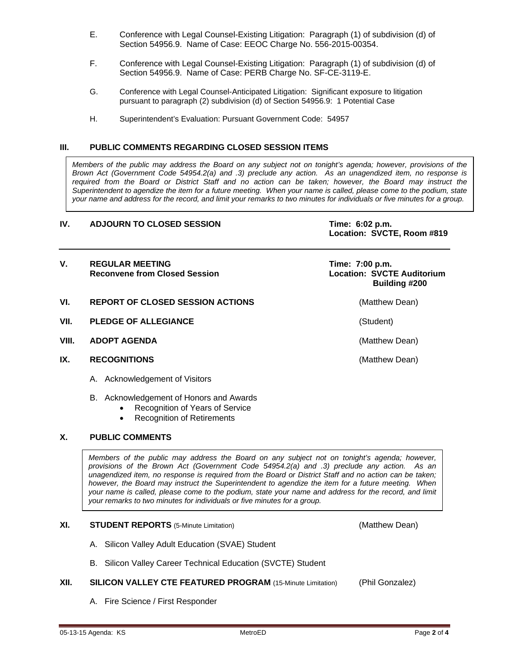- E. Conference with Legal Counsel-Existing Litigation: Paragraph (1) of subdivision (d) of Section 54956.9. Name of Case: EEOC Charge No. 556-2015-00354.
- F. Conference with Legal Counsel-Existing Litigation: Paragraph (1) of subdivision (d) of Section 54956.9. Name of Case: PERB Charge No. SF-CE-3119-E.
- G. Conference with Legal Counsel-Anticipated Litigation: Significant exposure to litigation pursuant to paragraph (2) subdivision (d) of Section 54956.9: 1 Potential Case
- H. Superintendent's Evaluation: Pursuant Government Code: 54957

#### **III. PUBLIC COMMENTS REGARDING CLOSED SESSION ITEMS**

*Members of the public may address the Board on any subject not on tonight's agenda; however, provisions of the Brown Act (Government Code 54954.2(a) and .3) preclude any action. As an unagendized item, no response is required from the Board or District Staff and no action can be taken; however, the Board may instruct the Superintendent to agendize the item for a future meeting. When your name is called, please come to the podium, state your name and address for the record, and limit your remarks to two minutes for individuals or five minutes for a group.*

#### **IV. ADJOURN TO CLOSED SESSION Time: 6:02 p.m.**

**Location: SVCTE, Room #819**

| V.    | <b>REGULAR MEETING</b><br><b>Reconvene from Closed Session</b> | Time: 7:00 p.m.<br><b>Location: SVCTE Auditorium</b><br>Building #200 |
|-------|----------------------------------------------------------------|-----------------------------------------------------------------------|
| VI.   | <b>REPORT OF CLOSED SESSION ACTIONS</b>                        | (Matthew Dean)                                                        |
| VII.  | <b>PLEDGE OF ALLEGIANCE</b>                                    | (Student)                                                             |
| VIII. | <b>ADOPT AGENDA</b>                                            | (Matthew Dean)                                                        |
| IX.   | <b>RECOGNITIONS</b>                                            | (Matthew Dean)                                                        |

- A. Acknowledgement of Visitors
- B. Acknowledgement of Honors and Awards
	- Recognition of Years of Service
		- Recognition of Retirements

### **X. PUBLIC COMMENTS**

*Members of the public may address the Board on any subject not on tonight's agenda; however, provisions of the Brown Act (Government Code 54954.2(a) and .3) preclude any action. As an unagendized item, no response is required from the Board or District Staff and no action can be taken; however, the Board may instruct the Superintendent to agendize the item for a future meeting. When your name is called, please come to the podium, state your name and address for the record, and limit your remarks to two minutes for individuals or five minutes for a group.*

#### **XI. STUDENT REPORTS** (5-Minute Limitation) (Matthew Dean)

- A. Silicon Valley Adult Education (SVAE) Student
- B. Silicon Valley Career Technical Education (SVCTE) Student
- **XII. SILICON VALLEY CTE FEATURED PROGRAM** (15-Minute Limitation) (Phil Gonzalez)
	- A. Fire Science / First Responder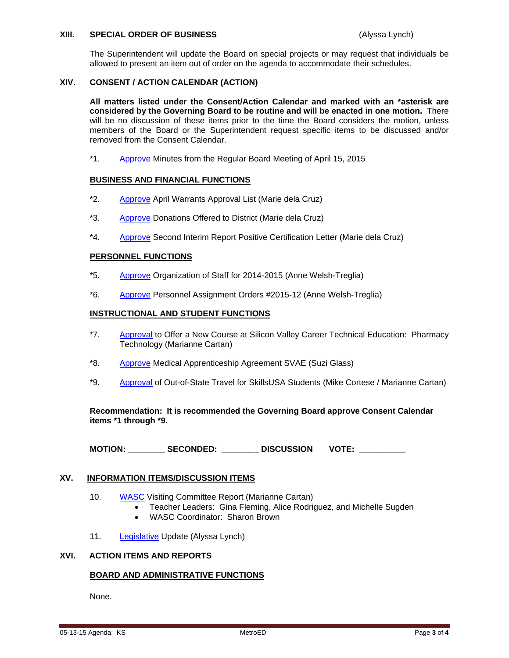#### **XIII. SPECIAL ORDER OF BUSINESS** (Alyssa Lynch)

The Superintendent will update the Board on special projects or may request that individuals be allowed to present an item out of order on the agenda to accommodate their schedules.

#### **XIV. CONSENT / ACTION CALENDAR (ACTION)**

**All matters listed under the Consent/Action Calendar and marked with an \*asterisk are considered by the Governing Board to be routine and will be enacted in one motion.** There will be no discussion of these items prior to the time the Board considers the motion, unless members of the Board or the Superintendent request specific items to be discussed and/or removed from the Consent Calendar.

\*1. [Approve](http://fbsd.metroed.net/ksmith/Board_Agenda/05-13-15BoardAgenda/Item-01_04-15-15BoardMinutes.pdf) Minutes from the Regular Board Meeting of April 15, 2015

#### **BUSINESS AND FINANCIAL FUNCTIONS**

- \*2. [Approve](http://fbsd.metroed.net/ksmith/Board_Agenda/05-13-15BoardAgenda/Item-02.pdf) April Warrants Approval List (Marie dela Cruz)
- \*3. [Approve](http://fbsd.metroed.net/ksmith/Board_Agenda/05-13-15BoardAgenda/Item-03.pdf) Donations Offered to District (Marie dela Cruz)
- \*4. [Approve](http://fbsd.metroed.net/ksmith/Board_Agenda/05-13-15BoardAgenda/Item-04.pdf) Second Interim Report Positive Certification Letter (Marie dela Cruz)

#### **PERSONNEL FUNCTIONS**

- \*5. [Approve](http://fbsd.metroed.net/ksmith/Board_Agenda/05-13-15BoardAgenda/Item-05.pdf) Organization of Staff for 2014-2015 (Anne Welsh-Treglia)
- \*6. [Approve](http://fbsd.metroed.net/ksmith/Board_Agenda/05-13-15BoardAgenda/Item-06.pdf) Personnel Assignment Orders #2015-12 (Anne Welsh-Treglia)

#### **INSTRUCTIONAL AND STUDENT FUNCTIONS**

- \*7. [Approval](http://fbsd.metroed.net/ksmith/Board_Agenda/05-13-15BoardAgenda/Item-07.pdf) to Offer a New Course at Silicon Valley Career Technical Education: Pharmacy Technology (Marianne Cartan)
- \*8. [Approve](http://fbsd.metroed.net/ksmith/Board_Agenda/05-13-15BoardAgenda/Item-08.pdf) Medical Apprenticeship Agreement SVAE (Suzi Glass)
- \*9. [Approval](http://fbsd.metroed.net/ksmith/Board_Agenda/05-13-15BoardAgenda/Item-09.pdf) of Out-of-State Travel for SkillsUSA Students (Mike Cortese / Marianne Cartan)

**Recommendation: It is recommended the Governing Board approve Consent Calendar items \*1 through \*9.**

**MOTION: \_\_\_\_\_\_\_\_ SECONDED: \_\_\_\_\_\_\_\_ DISCUSSION VOTE: \_\_\_\_\_\_\_\_\_\_**

#### **XV. INFORMATION ITEMS/DISCUSSION ITEMS**

- 10. [WASC](http://fbsd.metroed.net/ksmith/Board_Agenda/05-13-15BoardAgenda/Item-10.pdf) Visiting Committee Report (Marianne Cartan)
	- Teacher Leaders: Gina Fleming, Alice Rodriguez, and Michelle Sugden
	- WASC Coordinator: Sharon Brown
- 11. [Legislative](http://fbsd.metroed.net/ksmith/Board_Agenda/05-13-15BoardAgenda/Item-11.pdf) Update (Alyssa Lynch)

#### **XVI. ACTION ITEMS AND REPORTS**

#### **BOARD AND ADMINISTRATIVE FUNCTIONS**

None.